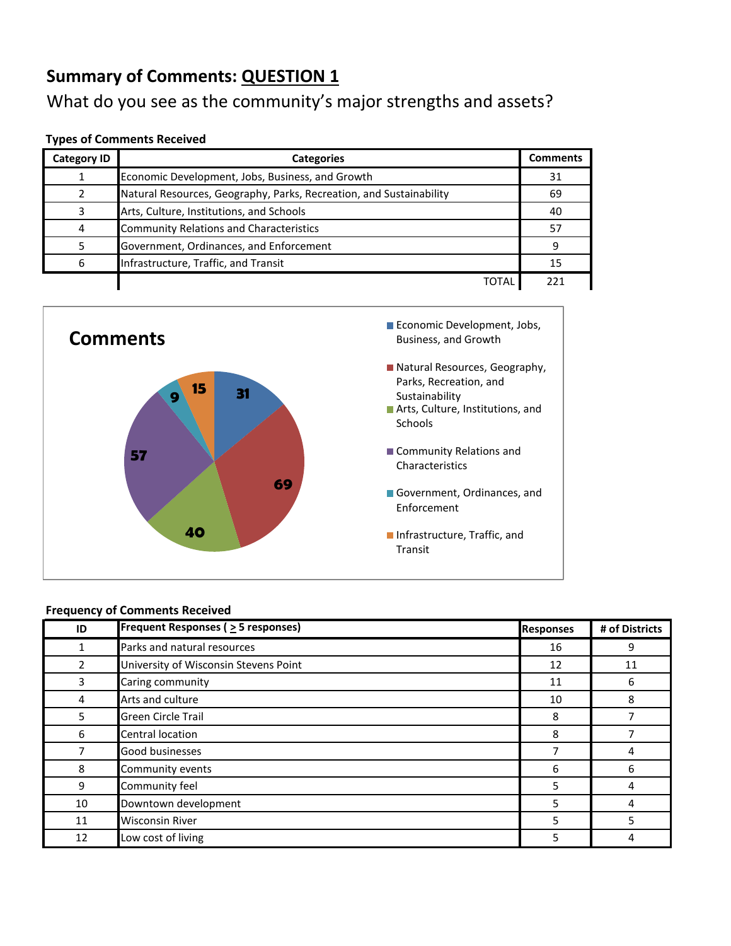## What do you see as the community's major strengths and assets?

#### **Types of Comments Received**

| <b>Category ID</b> | <b>Categories</b>                                                   | <b>Comments</b> |
|--------------------|---------------------------------------------------------------------|-----------------|
|                    | Economic Development, Jobs, Business, and Growth                    | 31              |
|                    | Natural Resources, Geography, Parks, Recreation, and Sustainability | 69              |
|                    | Arts, Culture, Institutions, and Schools                            | 40              |
| 4                  | <b>Community Relations and Characteristics</b>                      | 57              |
|                    | Government, Ordinances, and Enforcement                             | q               |
| 6                  | Infrastructure, Traffic, and Transit                                | 15              |
|                    | ΤΟΤΑΙ                                                               | 221             |



| ID             | Frequent Responses ( $\geq$ 5 responses) | <b>Responses</b> | # of Districts |
|----------------|------------------------------------------|------------------|----------------|
| 1              | Parks and natural resources              | 16               | 9              |
| $\overline{2}$ | University of Wisconsin Stevens Point    | 12               | 11             |
| 3              | Caring community                         | 11               | 6              |
| 4              | Arts and culture                         | 10               | 8              |
| 5              | <b>Green Circle Trail</b>                | 8                |                |
| 6              | Central location                         | 8                |                |
| 7              | Good businesses                          |                  | 4              |
| 8              | Community events                         | 6                | 6              |
| 9              | Community feel                           | 5                | 4              |
| 10             | Downtown development                     | 5                | 4              |
| 11             | <b>Wisconsin River</b>                   | 5                | 5              |
| 12             | Low cost of living                       | 5                | 4              |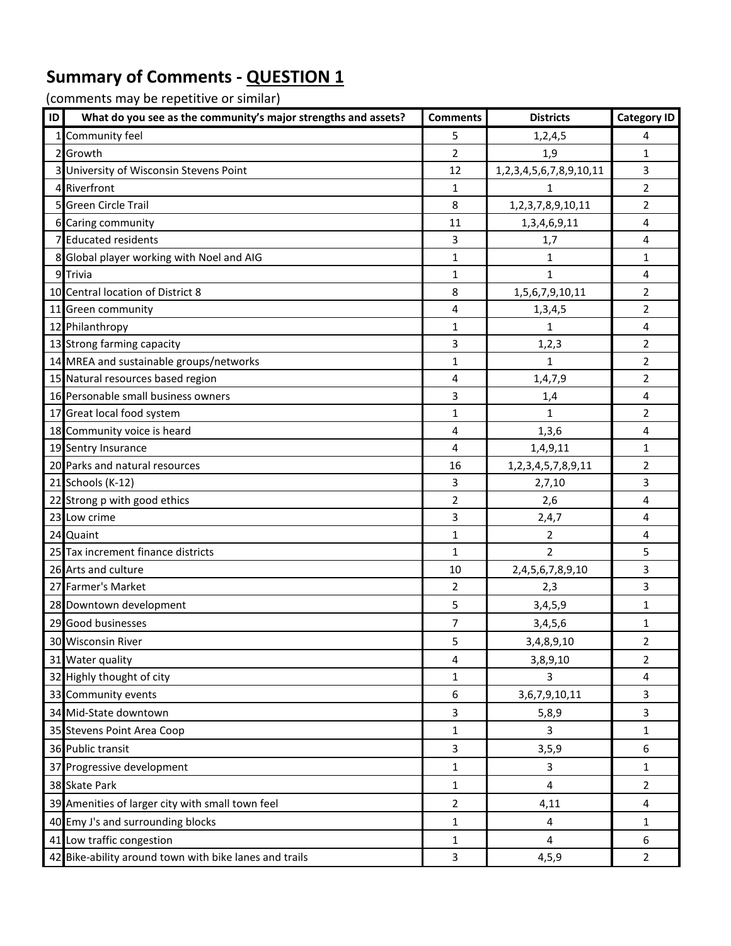| 1 Community feel<br>5<br>1, 2, 4, 5<br>4<br>$\overline{2}$<br>$\mathbf{1}$<br>2 Growth<br>1,9<br>3 University of Wisconsin Stevens Point<br>$\overline{3}$<br>1,2,3,4,5,6,7,8,9,10,11<br>12<br>4 Riverfront<br>1<br>$\overline{2}$<br>$\mathbf{1}$<br>5 Green Circle Trail<br>8<br>$\overline{2}$<br>1,2,3,7,8,9,10,11<br>4<br>6 Caring community<br>11<br>1,3,4,6,9,11<br>7 Educated residents<br>3<br>4<br>1,7<br>8 Global player working with Noel and AIG<br>$\mathbf{1}$<br>$\mathbf{1}$<br>$\mathbf{1}$ |
|---------------------------------------------------------------------------------------------------------------------------------------------------------------------------------------------------------------------------------------------------------------------------------------------------------------------------------------------------------------------------------------------------------------------------------------------------------------------------------------------------------------|
|                                                                                                                                                                                                                                                                                                                                                                                                                                                                                                               |
|                                                                                                                                                                                                                                                                                                                                                                                                                                                                                                               |
|                                                                                                                                                                                                                                                                                                                                                                                                                                                                                                               |
|                                                                                                                                                                                                                                                                                                                                                                                                                                                                                                               |
|                                                                                                                                                                                                                                                                                                                                                                                                                                                                                                               |
|                                                                                                                                                                                                                                                                                                                                                                                                                                                                                                               |
|                                                                                                                                                                                                                                                                                                                                                                                                                                                                                                               |
|                                                                                                                                                                                                                                                                                                                                                                                                                                                                                                               |
| 9 Trivia<br>1<br>1<br>4                                                                                                                                                                                                                                                                                                                                                                                                                                                                                       |
| 10 Central location of District 8<br>8<br>1,5,6,7,9,10,11<br>$\overline{2}$                                                                                                                                                                                                                                                                                                                                                                                                                                   |
| 4<br>$\overline{2}$<br>11 Green community<br>1,3,4,5                                                                                                                                                                                                                                                                                                                                                                                                                                                          |
| 12 Philanthropy<br>$\mathbf{1}$<br>$\overline{\mathbf{4}}$<br>1                                                                                                                                                                                                                                                                                                                                                                                                                                               |
| 13 Strong farming capacity<br>3<br>$\overline{2}$<br>1, 2, 3                                                                                                                                                                                                                                                                                                                                                                                                                                                  |
| 14 MREA and sustainable groups/networks<br>$\mathbf{1}$<br>$\overline{2}$<br>1                                                                                                                                                                                                                                                                                                                                                                                                                                |
| 15 Natural resources based region<br>4<br>1,4,7,9<br>$\overline{2}$                                                                                                                                                                                                                                                                                                                                                                                                                                           |
| 16 Personable small business owners<br>3<br>$\overline{\mathbf{4}}$<br>1,4                                                                                                                                                                                                                                                                                                                                                                                                                                    |
| 17 Great local food system<br>$\mathbf{1}$<br>$\overline{2}$<br>1                                                                                                                                                                                                                                                                                                                                                                                                                                             |
| 18 Community voice is heard<br>4<br>4<br>1, 3, 6                                                                                                                                                                                                                                                                                                                                                                                                                                                              |
| 19 Sentry Insurance<br>4<br>1,4,9,11<br>$\mathbf{1}$                                                                                                                                                                                                                                                                                                                                                                                                                                                          |
| 20 Parks and natural resources<br>16<br>$\overline{2}$<br>1,2,3,4,5,7,8,9,11                                                                                                                                                                                                                                                                                                                                                                                                                                  |
| $\overline{3}$<br>3<br>21 Schools (K-12)<br>2,7,10                                                                                                                                                                                                                                                                                                                                                                                                                                                            |
| 22 Strong p with good ethics<br>2<br>2,6<br>$\overline{\mathbf{4}}$                                                                                                                                                                                                                                                                                                                                                                                                                                           |
| 3<br>23 Low crime<br>2,4,7<br>4                                                                                                                                                                                                                                                                                                                                                                                                                                                                               |
| 24 Quaint<br>$\mathbf{1}$<br>$\overline{2}$<br>$\overline{\mathbf{4}}$                                                                                                                                                                                                                                                                                                                                                                                                                                        |
| 25 Tax increment finance districts<br>$\overline{2}$<br>5<br>$\mathbf{1}$                                                                                                                                                                                                                                                                                                                                                                                                                                     |
| 3<br>26 Arts and culture<br>10<br>2,4,5,6,7,8,9,10                                                                                                                                                                                                                                                                                                                                                                                                                                                            |
| 3<br>27 Farmer's Market<br>$\overline{2}$<br>2,3                                                                                                                                                                                                                                                                                                                                                                                                                                                              |
| 28 Downtown development<br>5<br>$\mathbf{1}$<br>3,4,5,9                                                                                                                                                                                                                                                                                                                                                                                                                                                       |
| 29 Good businesses<br>7<br>3,4,5,6<br>$\mathbf{1}$                                                                                                                                                                                                                                                                                                                                                                                                                                                            |
| 5<br>30 Wisconsin River<br>3,4,8,9,10<br>$\overline{2}$                                                                                                                                                                                                                                                                                                                                                                                                                                                       |
| 31 Water quality<br>4<br>2<br>3,8,9,10                                                                                                                                                                                                                                                                                                                                                                                                                                                                        |
| 32 Highly thought of city<br>3<br>1<br>4                                                                                                                                                                                                                                                                                                                                                                                                                                                                      |
| $\overline{3}$<br>33 Community events<br>6<br>3,6,7,9,10,11                                                                                                                                                                                                                                                                                                                                                                                                                                                   |
| 34 Mid-State downtown<br>3<br>3<br>5,8,9                                                                                                                                                                                                                                                                                                                                                                                                                                                                      |
| 35 Stevens Point Area Coop<br>3<br>1<br>$\mathbf{1}$                                                                                                                                                                                                                                                                                                                                                                                                                                                          |
| 36 Public transit<br>3<br>6<br>3, 5, 9                                                                                                                                                                                                                                                                                                                                                                                                                                                                        |
| 37 Progressive development<br>1<br>3<br>$\mathbf{1}$                                                                                                                                                                                                                                                                                                                                                                                                                                                          |
| 38 Skate Park<br>$\overline{4}$<br>1<br>$\overline{2}$                                                                                                                                                                                                                                                                                                                                                                                                                                                        |
| 39 Amenities of larger city with small town feel<br>4,11<br>2<br>4                                                                                                                                                                                                                                                                                                                                                                                                                                            |
| 40 Emy J's and surrounding blocks<br>4<br>1<br>$\mathbf{1}$                                                                                                                                                                                                                                                                                                                                                                                                                                                   |
| 41 Low traffic congestion<br>$\overline{\mathbf{4}}$<br>6<br>$\mathbf 1$                                                                                                                                                                                                                                                                                                                                                                                                                                      |
| 42 Bike-ability around town with bike lanes and trails<br>$\mathbf{3}$<br>4, 5, 9<br>$\overline{2}$                                                                                                                                                                                                                                                                                                                                                                                                           |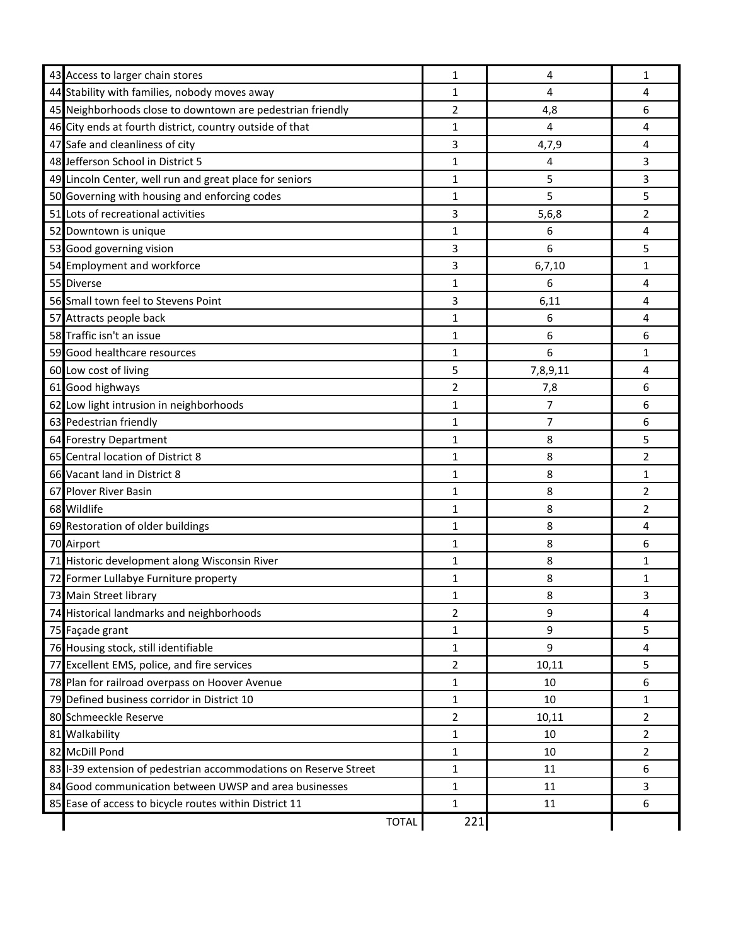| 43 Access to larger chain stores                                 | 1              | 4              | $\mathbf{1}$   |
|------------------------------------------------------------------|----------------|----------------|----------------|
| 44 Stability with families, nobody moves away                    | 1              | 4              | 4              |
| 45 Neighborhoods close to downtown are pedestrian friendly       | 2              | 4,8            | 6              |
| 46 City ends at fourth district, country outside of that         | 1              | $\overline{4}$ | 4              |
| 47 Safe and cleanliness of city                                  | 3              | 4,7,9          | 4              |
| 48 Jefferson School in District 5                                | 1              | 4              | 3              |
| 49 Lincoln Center, well run and great place for seniors          | 1              | 5              | 3              |
| 50 Governing with housing and enforcing codes                    | 1              | 5              | 5              |
| 51 Lots of recreational activities                               | 3              | 5,6,8          | 2              |
| 52 Downtown is unique                                            | 1              | 6              | 4              |
| 53 Good governing vision                                         | 3              | 6              | 5              |
| 54 Employment and workforce                                      | 3              | 6, 7, 10       | 1              |
| 55 Diverse                                                       | 1              | 6              | 4              |
| 56 Small town feel to Stevens Point                              | 3              | 6,11           | 4              |
| 57 Attracts people back                                          | 1              | 6              | 4              |
| 58 Traffic isn't an issue                                        | 1              | 6              | 6              |
| 59 Good healthcare resources                                     | 1              | 6              | 1              |
| 60 Low cost of living                                            | 5              | 7,8,9,11       | 4              |
| 61 Good highways                                                 | 2              | 7,8            | 6              |
| 62 Low light intrusion in neighborhoods                          | 1              | $\overline{7}$ | 6              |
| 63 Pedestrian friendly                                           | 1              | 7              | 6              |
| 64 Forestry Department                                           | 1              | 8              | 5              |
| 65 Central location of District 8                                | $\mathbf{1}$   | 8              | 2              |
| 66 Vacant land in District 8                                     | 1              | 8              | 1              |
| 67 Plover River Basin                                            | 1              | 8              | 2              |
| 68 Wildlife                                                      | 1              | 8              | 2              |
| 69 Restoration of older buildings                                | 1              | 8              | 4              |
| 70 Airport                                                       | 1              | 8              | 6              |
| 71 Historic development along Wisconsin River                    | 1              | 8              | 1              |
| 72 Former Lullabye Furniture property                            | 1              | 8              | 1              |
| 73 Main Street library                                           | 1              | 8              | 3              |
| 74 Historical landmarks and neighborhoods                        | $\overline{2}$ | 9              | 4              |
| 75 Façade grant                                                  | 1              | 9              | 5              |
| 76 Housing stock, still identifiable                             | 1              | 9              | $\overline{4}$ |
| 77 Excellent EMS, police, and fire services                      | $\overline{2}$ | 10,11          | 5              |
| 78 Plan for railroad overpass on Hoover Avenue                   | 1              | 10             | 6              |
| 79 Defined business corridor in District 10                      | 1              | 10             | 1              |
| 80 Schmeeckle Reserve                                            | 2              | 10,11          | $\overline{2}$ |
| 81 Walkability                                                   | $\mathbf{1}$   | 10             | $\overline{2}$ |
| 82 McDill Pond                                                   | 1              | 10             | $\overline{2}$ |
| 83 I-39 extension of pedestrian accommodations on Reserve Street | 1              | 11             | 6              |
| 84 Good communication between UWSP and area businesses           | $\mathbf{1}$   | 11             | 3              |
| 85 Ease of access to bicycle routes within District 11           | 1              | 11             | 6              |
| <b>TOTAL</b>                                                     | 221            |                |                |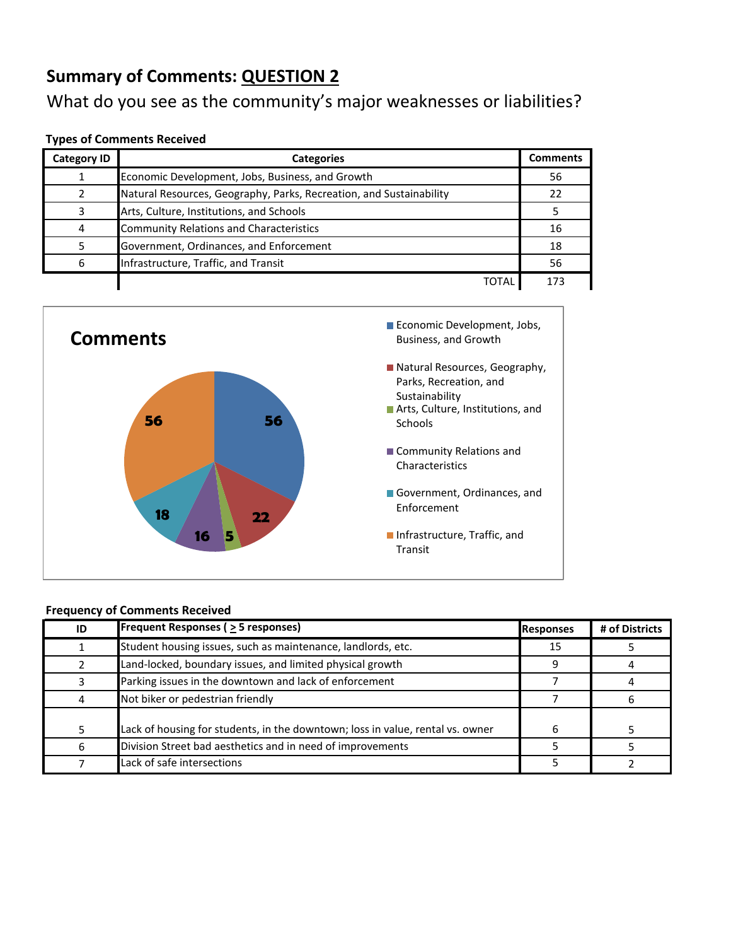## What do you see as the community's major weaknesses or liabilities?

#### **Types of Comments Received**

| <b>Category ID</b> | <b>Categories</b>                                                   | <b>Comments</b> |
|--------------------|---------------------------------------------------------------------|-----------------|
|                    | Economic Development, Jobs, Business, and Growth                    | 56              |
|                    | Natural Resources, Geography, Parks, Recreation, and Sustainability | 22              |
| 3                  | Arts, Culture, Institutions, and Schools                            |                 |
| 4                  | <b>Community Relations and Characteristics</b>                      | 16              |
|                    | Government, Ordinances, and Enforcement                             | 18              |
| 6                  | Infrastructure, Traffic, and Transit                                | 56              |
|                    | TOTAI                                                               | 173             |



| ID | <b>Frequent Responses (<math>\geq</math> 5 responses)</b>                      | <b>Responses</b> | # of Districts |
|----|--------------------------------------------------------------------------------|------------------|----------------|
|    | Student housing issues, such as maintenance, landlords, etc.                   | 15               |                |
|    | Land-locked, boundary issues, and limited physical growth                      |                  |                |
|    | Parking issues in the downtown and lack of enforcement                         |                  |                |
| 4  | Not biker or pedestrian friendly                                               |                  |                |
|    | Lack of housing for students, in the downtown; loss in value, rental vs. owner |                  |                |
| 6  | Division Street bad aesthetics and in need of improvements                     |                  |                |
|    | Lack of safe intersections                                                     |                  |                |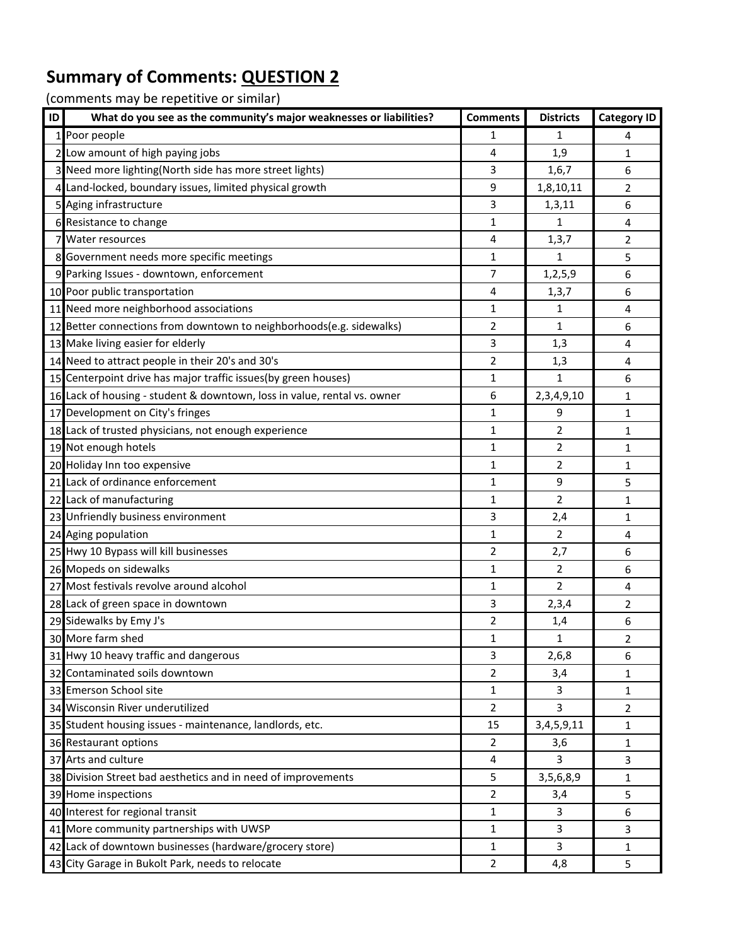| ID | What do you see as the community's major weaknesses or liabilities?      | <b>Comments</b> | <b>Districts</b> | <b>Category ID</b> |
|----|--------------------------------------------------------------------------|-----------------|------------------|--------------------|
|    | 1 Poor people                                                            | 1               | 1                | 4                  |
|    | 2 Low amount of high paying jobs                                         | 4               | 1,9              | 1                  |
|    | 3 Need more lighting(North side has more street lights)                  | 3               | 1,6,7            | 6                  |
|    | 4 Land-locked, boundary issues, limited physical growth                  | 9               | 1,8,10,11        | 2                  |
|    | 5 Aging infrastructure                                                   | 3               | 1,3,11           | 6                  |
|    | 6 Resistance to change                                                   | 1               | 1                | 4                  |
|    | 7 Water resources                                                        | 4               | 1, 3, 7          | $\overline{2}$     |
|    | 8 Government needs more specific meetings                                | $\mathbf{1}$    | 1                | 5                  |
|    | 9 Parking Issues - downtown, enforcement                                 | 7               | 1,2,5,9          | 6                  |
|    | 10 Poor public transportation                                            | 4               | 1, 3, 7          | 6                  |
|    | 11 Need more neighborhood associations                                   | 1               | 1                | $\overline{4}$     |
|    | 12 Better connections from downtown to neighborhoods(e.g. sidewalks)     | 2               | 1                | 6                  |
|    | 13 Make living easier for elderly                                        | 3               | 1,3              | 4                  |
|    | 14 Need to attract people in their 20's and 30's                         | 2               | 1,3              | 4                  |
|    | 15 Centerpoint drive has major traffic issues(by green houses)           | 1               | $\mathbf{1}$     | 6                  |
|    | 16 Lack of housing - student & downtown, loss in value, rental vs. owner | 6               | 2,3,4,9,10       | 1                  |
|    | 17 Development on City's fringes                                         | 1               | 9                | 1                  |
|    | 18 Lack of trusted physicians, not enough experience                     | 1               | $\overline{2}$   | 1                  |
|    | 19 Not enough hotels                                                     | 1               | 2                | 1                  |
|    | 20 Holiday Inn too expensive                                             | 1               | 2                | 1                  |
|    | 21 Lack of ordinance enforcement                                         | $\mathbf 1$     | $\boldsymbol{9}$ | 5                  |
|    | 22 Lack of manufacturing                                                 | 1               | 2                | 1                  |
|    | 23 Unfriendly business environment                                       | 3               | 2,4              | 1                  |
|    | 24 Aging population                                                      | 1               | 2                | 4                  |
|    | 25 Hwy 10 Bypass will kill businesses                                    | 2               | 2,7              | 6                  |
|    | 26 Mopeds on sidewalks                                                   | 1               | 2                | 6                  |
|    | 27 Most festivals revolve around alcohol                                 | 1               | $\overline{2}$   | 4                  |
|    | 28 Lack of green space in downtown                                       | 3               | 2,3,4            | 2                  |
|    | 29 Sidewalks by Emy J's                                                  | 2               | 1,4              | 6                  |
|    | 30 More farm shed                                                        | $\mathbf{1}$    | $\mathbf{1}$     | $\overline{2}$     |
|    | 31 Hwy 10 heavy traffic and dangerous                                    | 3               | 2,6,8            | 6                  |
|    | 32 Contaminated soils downtown                                           | 2               | 3,4              | 1                  |
|    | 33 Emerson School site                                                   | 1               | 3                | 1                  |
|    | 34 Wisconsin River underutilized                                         | 2               | 3                | 2                  |
|    | 35 Student housing issues - maintenance, landlords, etc.                 | 15              | 3,4,5,9,11       | 1                  |
|    | 36 Restaurant options                                                    | 2               | 3,6              | 1                  |
|    | 37 Arts and culture                                                      | 4               | 3                | 3                  |
|    | 38 Division Street bad aesthetics and in need of improvements            | 5               | 3,5,6,8,9        | 1                  |
|    | 39 Home inspections                                                      | $\overline{2}$  | 3,4              | 5                  |
|    | 40 Interest for regional transit                                         | 1               | 3                | 6                  |
|    | 41 More community partnerships with UWSP                                 | 1               | 3                | 3                  |
|    | 42 Lack of downtown businesses (hardware/grocery store)                  | 1               | 3                | $\mathbf{1}$       |
|    | 43 City Garage in Bukolt Park, needs to relocate                         | 2               | 4,8              | 5                  |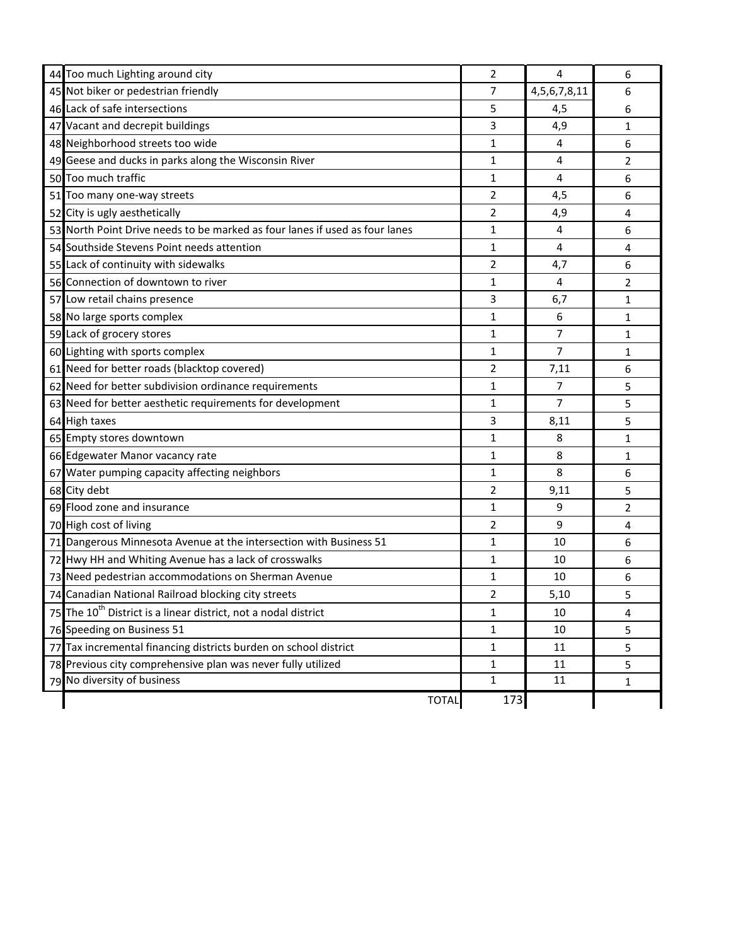| 44 Too much Lighting around city                                            | 2            | $\overline{4}$    | 6            |
|-----------------------------------------------------------------------------|--------------|-------------------|--------------|
| 45 Not biker or pedestrian friendly                                         | 7            | 4, 5, 6, 7, 8, 11 | 6            |
| 46 Lack of safe intersections                                               | 5            | 4,5               | 6            |
| 47 Vacant and decrepit buildings                                            | 3            | 4,9               | 1            |
| 48 Neighborhood streets too wide                                            | 1            | 4                 | 6            |
| 49 Geese and ducks in parks along the Wisconsin River                       | 1            | 4                 | 2            |
| 50 Too much traffic                                                         | 1            | 4                 | 6            |
| 51 Too many one-way streets                                                 | 2            | 4,5               | 6            |
| 52 City is ugly aesthetically                                               | 2            | 4,9               | 4            |
| 53 North Point Drive needs to be marked as four lanes if used as four lanes | 1            | 4                 | 6            |
| 54 Southside Stevens Point needs attention                                  | 1            | 4                 | 4            |
| 55 Lack of continuity with sidewalks                                        | 2            | 4,7               | 6            |
| 56 Connection of downtown to river                                          | 1            | 4                 | 2            |
| 57 Low retail chains presence                                               | 3            | 6,7               | $\mathbf{1}$ |
| 58 No large sports complex                                                  | 1            | 6                 | 1            |
| 59 Lack of grocery stores                                                   | 1            | 7                 | 1            |
| 60 Lighting with sports complex                                             | 1            | 7                 | 1            |
| 61 Need for better roads (blacktop covered)                                 | 2            | 7,11              | 6            |
| 62 Need for better subdivision ordinance requirements                       | 1            | 7                 | 5            |
| 63 Need for better aesthetic requirements for development                   | 1            | 7                 | 5            |
| 64 High taxes                                                               | 3            | 8,11              | 5            |
| 65 Empty stores downtown                                                    | 1            | 8                 | 1            |
| 66 Edgewater Manor vacancy rate                                             | 1            | 8                 | 1            |
| 67 Water pumping capacity affecting neighbors                               | 1            | 8                 | 6            |
| 68 City debt                                                                | 2            | 9,11              | 5            |
| 69 Flood zone and insurance                                                 | 1            | 9                 | 2            |
| 70 High cost of living                                                      | 2            | 9                 | 4            |
| 71 Dangerous Minnesota Avenue at the intersection with Business 51          | 1            | 10                | 6            |
| 72 Hwy HH and Whiting Avenue has a lack of crosswalks                       | $\mathbf{1}$ | 10                | 6            |
| 73 Need pedestrian accommodations on Sherman Avenue                         | 1            | 10                | 6            |
| 74 Canadian National Railroad blocking city streets                         | 2            | 5,10              | 5            |
| 75 The 10 <sup>th</sup> District is a linear district, not a nodal district | 1            | 10                | 4            |
| 76 Speeding on Business 51                                                  | 1            | 10                | 5            |
| 77 Tax incremental financing districts burden on school district            | 1            | 11                | 5            |
| 78 Previous city comprehensive plan was never fully utilized                | 1            | 11                | 5            |
| 79 No diversity of business                                                 | 1            | 11                | 1            |
| <b>TOTAL</b>                                                                | 173          |                   |              |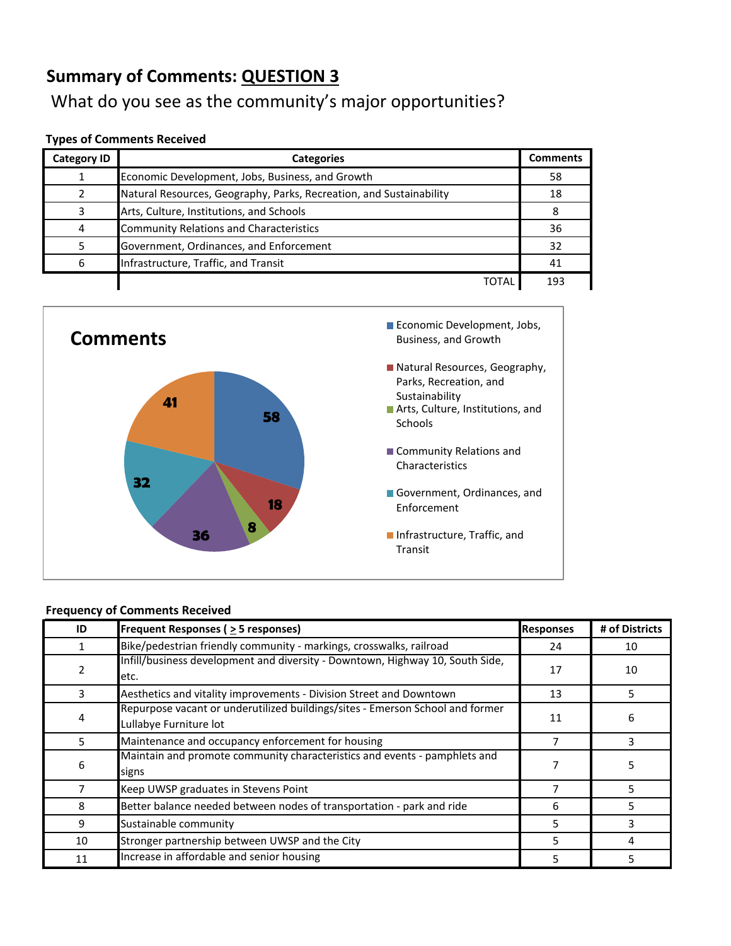What do you see as the community's major opportunities?

#### **Types of Comments Received**

| <b>Category ID</b> | <b>Categories</b>                                                   | <b>Comments</b> |
|--------------------|---------------------------------------------------------------------|-----------------|
|                    | Economic Development, Jobs, Business, and Growth                    | 58              |
|                    | Natural Resources, Geography, Parks, Recreation, and Sustainability | 18              |
| R                  | Arts, Culture, Institutions, and Schools                            | 8               |
| 4                  | <b>Community Relations and Characteristics</b>                      | 36              |
|                    | Government, Ordinances, and Enforcement                             | 32              |
| 6                  | Infrastructure, Traffic, and Transit                                | 41              |
|                    | TOTAL                                                               | 193             |



| ID | <b>Frequent Responses (<math>\geq</math> 5 responses)</b>                                               | <b>Responses</b> | # of Districts |
|----|---------------------------------------------------------------------------------------------------------|------------------|----------------|
|    | Bike/pedestrian friendly community - markings, crosswalks, railroad                                     | 24               | 10             |
| 2  | Infill/business development and diversity - Downtown, Highway 10, South Side,<br>etc.                   | 17               | 10             |
| 3  | Aesthetics and vitality improvements - Division Street and Downtown                                     | 13               | 5              |
| 4  | Repurpose vacant or underutilized buildings/sites - Emerson School and former<br>Lullabye Furniture lot | 11               | 6              |
| 5  | Maintenance and occupancy enforcement for housing                                                       |                  | ς              |
| 6  | Maintain and promote community characteristics and events - pamphlets and<br>signs                      |                  | 5.             |
| 7  | Keep UWSP graduates in Stevens Point                                                                    |                  |                |
| 8  | Better balance needed between nodes of transportation - park and ride                                   | 6                |                |
| 9  | Sustainable community                                                                                   | 5                |                |
| 10 | Stronger partnership between UWSP and the City                                                          | 5.               | 4              |
| 11 | Increase in affordable and senior housing                                                               | 5.               | 5.             |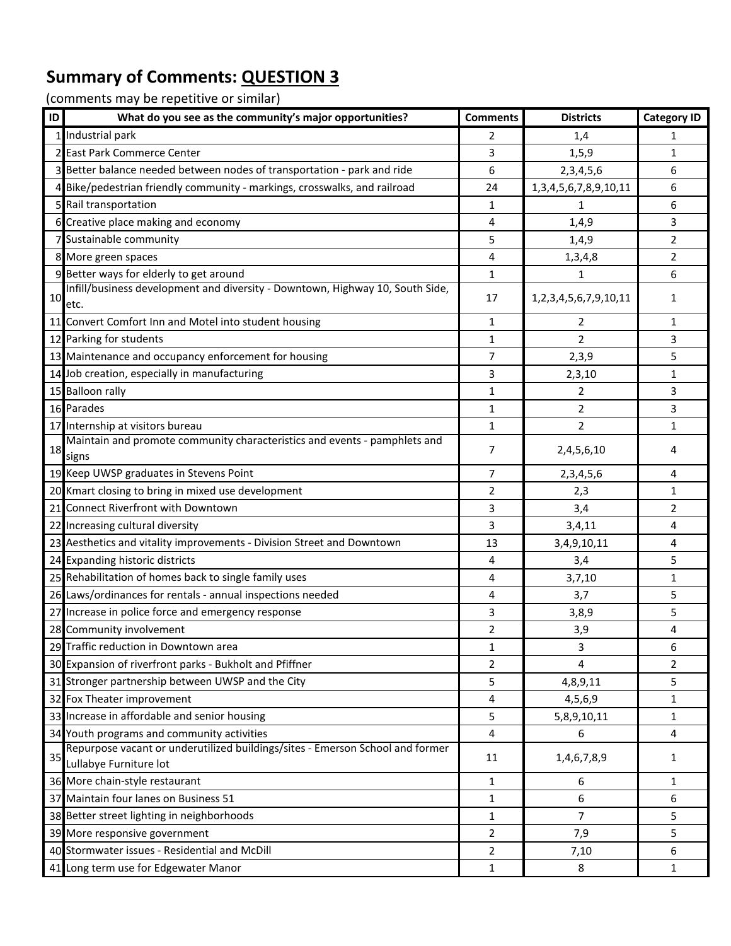| ID | What do you see as the community's major opportunities?                                                 | <b>Comments</b> | <b>Districts</b>               | <b>Category ID</b> |
|----|---------------------------------------------------------------------------------------------------------|-----------------|--------------------------------|--------------------|
|    | 1 Industrial park                                                                                       | 2               | 1,4                            | 1                  |
|    | 2 East Park Commerce Center                                                                             | 3               | 1, 5, 9                        | 1                  |
|    | 3 Better balance needed between nodes of transportation - park and ride                                 | 6               | 2,3,4,5,6                      | 6                  |
|    | 4 Bike/pedestrian friendly community - markings, crosswalks, and railroad                               | 24              | 1, 3, 4, 5, 6, 7, 8, 9, 10, 11 | 6                  |
|    | 5 Rail transportation                                                                                   | 1               | 1                              | 6                  |
|    | 6 Creative place making and economy                                                                     | 4               | 1,4,9                          | 3                  |
|    | 7 Sustainable community                                                                                 | 5               | 1,4,9                          | 2                  |
|    | 8 More green spaces                                                                                     | 4               | 1,3,4,8                        | $\overline{2}$     |
|    | 9 Better ways for elderly to get around                                                                 | 1               | $\mathbf{1}$                   | 6                  |
| 10 | Infill/business development and diversity - Downtown, Highway 10, South Side,<br>etc.                   | 17              | 1,2,3,4,5,6,7,9,10,11          | 1                  |
|    | 11 Convert Comfort Inn and Motel into student housing                                                   | 1               | 2                              | 1                  |
|    | 12 Parking for students                                                                                 | 1               | $\overline{2}$                 | 3                  |
|    | 13 Maintenance and occupancy enforcement for housing                                                    | 7               | 2,3,9                          | 5                  |
|    | 14 Job creation, especially in manufacturing                                                            | 3               | 2,3,10                         | 1                  |
|    | 15 Balloon rally                                                                                        | 1               | 2                              | 3                  |
|    | 16 Parades                                                                                              | 1               | 2                              | 3                  |
|    | 17 Internship at visitors bureau                                                                        | 1               | $\overline{2}$                 | 1                  |
| 18 | Maintain and promote community characteristics and events - pamphlets and<br>signs                      | 7               | 2,4,5,6,10                     | 4                  |
|    | 19 Keep UWSP graduates in Stevens Point                                                                 | 7               | 2, 3, 4, 5, 6                  | 4                  |
|    | 20 Kmart closing to bring in mixed use development                                                      | 2               | 2,3                            | 1                  |
|    | 21 Connect Riverfront with Downtown                                                                     | 3               | 3,4                            | $\overline{2}$     |
|    | 22 Increasing cultural diversity                                                                        | 3               | 3,4,11                         | 4                  |
|    | 23 Aesthetics and vitality improvements - Division Street and Downtown                                  | 13              | 3,4,9,10,11                    | 4                  |
|    | 24 Expanding historic districts                                                                         | 4               | 3,4                            | 5                  |
|    | 25 Rehabilitation of homes back to single family uses                                                   | 4               | 3,7,10                         | 1                  |
|    | 26 Laws/ordinances for rentals - annual inspections needed                                              | 4               | 3,7                            | 5                  |
|    | 27 Increase in police force and emergency response                                                      | 3               | 3,8,9                          | 5                  |
|    | 28 Community involvement                                                                                | $\overline{2}$  | 3,9                            | 4                  |
|    | 29 Traffic reduction in Downtown area                                                                   | 1               | 3                              | b                  |
|    | 30 Expansion of riverfront parks - Bukholt and Pfiffner                                                 | $\overline{2}$  | 4                              | $\overline{2}$     |
|    | 31 Stronger partnership between UWSP and the City                                                       | 5               | 4,8,9,11                       | 5                  |
|    | 32 Fox Theater improvement                                                                              | 4               | 4,5,6,9                        | 1                  |
|    | 33 Increase in affordable and senior housing                                                            | 5               | 5,8,9,10,11                    | 1                  |
|    | 34 Youth programs and community activities                                                              | 4               | 6                              | 4                  |
| 35 | Repurpose vacant or underutilized buildings/sites - Emerson School and former<br>Lullabye Furniture lot | 11              | 1,4,6,7,8,9                    | 1                  |
|    | 36 More chain-style restaurant                                                                          | 1               | 6                              | 1                  |
|    | 37 Maintain four lanes on Business 51                                                                   | 1               | 6                              | 6                  |
|    | 38 Better street lighting in neighborhoods                                                              | 1               | $\overline{7}$                 | 5                  |
|    | 39 More responsive government                                                                           | 2               | 7,9                            | 5                  |
|    | 40 Stormwater issues - Residential and McDill                                                           | 2               | 7,10                           | 6                  |
|    | 41 Long term use for Edgewater Manor                                                                    | $\mathbf 1$     | 8                              | $\mathbf{1}$       |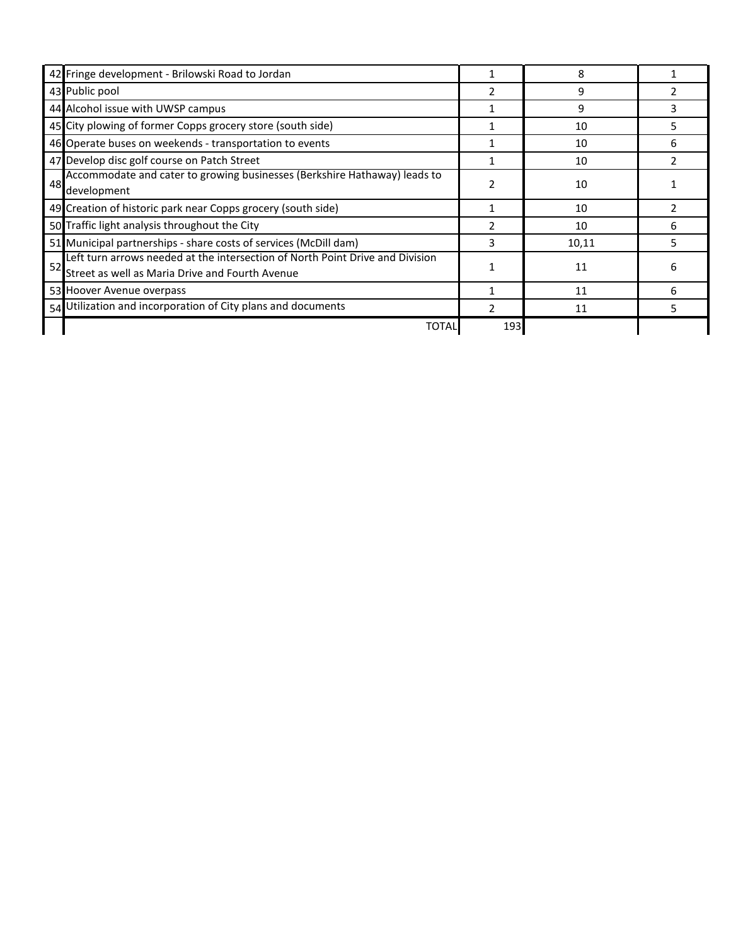| 42 Fringe development - Brilowski Road to Jordan                                                                                       |     | 8     |               |
|----------------------------------------------------------------------------------------------------------------------------------------|-----|-------|---------------|
| 43 Public pool                                                                                                                         |     | 9     |               |
| 44 Alcohol issue with UWSP campus                                                                                                      |     | 9     | 3             |
| 45 City plowing of former Copps grocery store (south side)                                                                             |     | 10    | 5.            |
| 46 Operate buses on weekends - transportation to events                                                                                |     | 10    | 6             |
| 47 Develop disc golf course on Patch Street                                                                                            |     | 10    |               |
| Accommodate and cater to growing businesses (Berkshire Hathaway) leads to<br>48<br>development                                         |     | 10    |               |
| 49 Creation of historic park near Copps grocery (south side)                                                                           |     | 10    | $\mathcal{L}$ |
| 50 Traffic light analysis throughout the City                                                                                          | 2   | 10    | 6             |
| 51 Municipal partnerships - share costs of services (McDill dam)                                                                       | 3   | 10,11 | 5             |
| Left turn arrows needed at the intersection of North Point Drive and Division<br>52<br>Street as well as Maria Drive and Fourth Avenue |     | 11    | 6             |
| 53 Hoover Avenue overpass                                                                                                              |     | 11    | 6             |
| 54 Utilization and incorporation of City plans and documents                                                                           |     | 11    |               |
| TOTAL                                                                                                                                  | 193 |       |               |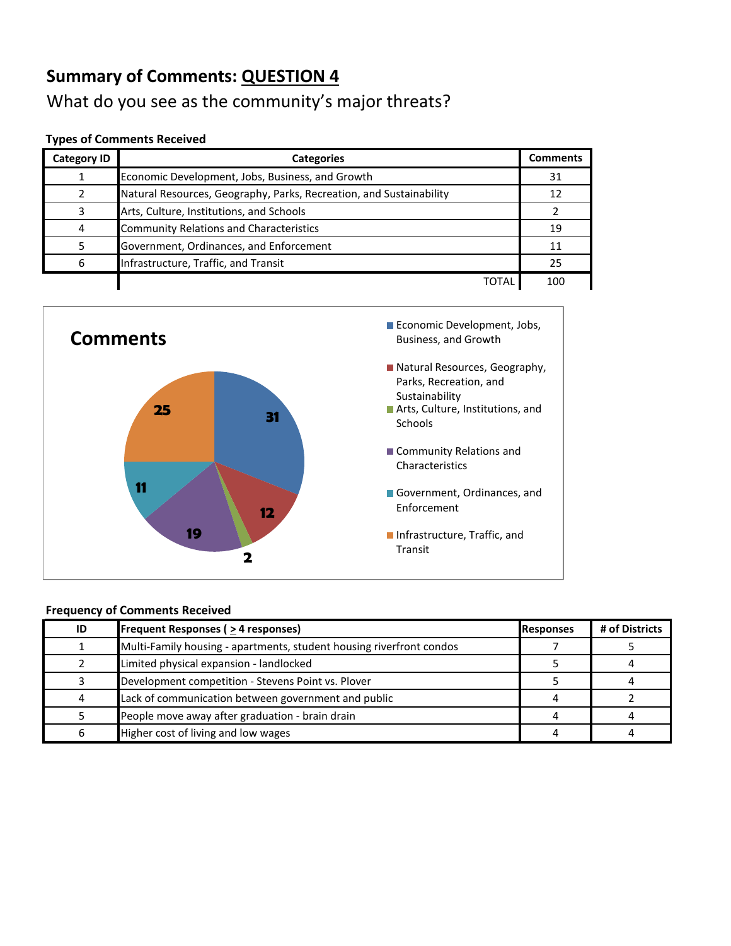## What do you see as the community's major threats?

#### **Types of Comments Received**

| <b>Category ID</b> | <b>Categories</b>                                                   | <b>Comments</b> |
|--------------------|---------------------------------------------------------------------|-----------------|
|                    | Economic Development, Jobs, Business, and Growth                    | 31              |
|                    | Natural Resources, Geography, Parks, Recreation, and Sustainability | 12              |
| っ                  | Arts, Culture, Institutions, and Schools                            |                 |
| 4                  | <b>Community Relations and Characteristics</b>                      | 19              |
|                    | Government, Ordinances, and Enforcement                             | 11              |
| 6                  | Infrastructure, Traffic, and Transit                                | 25              |
|                    | TOTAI                                                               | 100             |



| ID | <b>Frequent Responses (<math>\geq</math> 4 responses)</b>            | Responses | # of Districts |
|----|----------------------------------------------------------------------|-----------|----------------|
|    | Multi-Family housing - apartments, student housing riverfront condos |           |                |
|    | Limited physical expansion - landlocked                              |           |                |
|    | Development competition - Stevens Point vs. Plover                   |           |                |
|    | Lack of communication between government and public                  |           |                |
|    | People move away after graduation - brain drain                      |           |                |
| 6  | Higher cost of living and low wages                                  |           |                |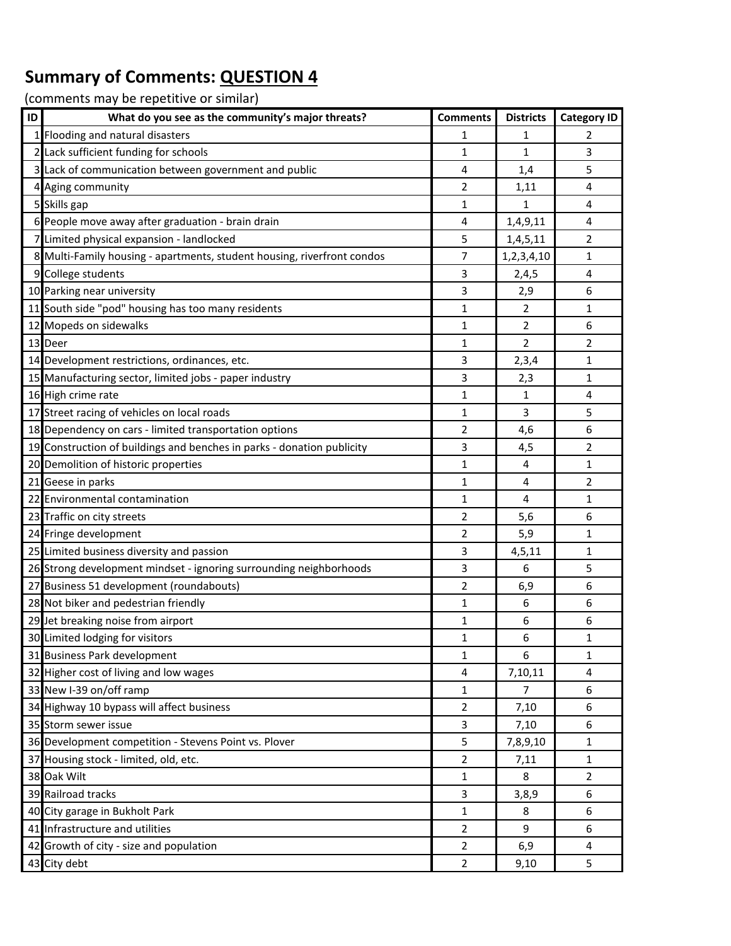| ID | What do you see as the community's major threats?                       | <b>Comments</b> | <b>Districts</b> | <b>Category ID</b> |
|----|-------------------------------------------------------------------------|-----------------|------------------|--------------------|
|    | Flooding and natural disasters                                          | 1               | 1                | 2                  |
|    | Lack sufficient funding for schools                                     | 1               | 1                | 3                  |
|    | 3 Lack of communication between government and public                   | 4               | 1,4              | 5                  |
|    | Aging community                                                         | 2               | 1,11             | 4                  |
|    | 5 Skills gap                                                            | 1               | 1                | 4                  |
|    | 6 People move away after graduation - brain drain                       | 4               | 1,4,9,11         | 4                  |
|    | Limited physical expansion - landlocked                                 | 5               | 1,4,5,11         | 2                  |
|    | 8 Multi-Family housing - apartments, student housing, riverfront condos | 7               | 1,2,3,4,10       | 1                  |
|    | 9 College students                                                      | 3               | 2,4,5            | 4                  |
|    | 10 Parking near university                                              | 3               | 2,9              | 6                  |
| 11 | South side "pod" housing has too many residents                         | $\mathbf{1}$    | $\overline{2}$   | 1                  |
|    | Mopeds on sidewalks                                                     | 1               | $\overline{2}$   | 6                  |
|    | 13 Deer                                                                 | $\mathbf{1}$    | $\overline{2}$   | 2                  |
|    | 14 Development restrictions, ordinances, etc.                           | 3               | 2,3,4            | 1                  |
|    | 15 Manufacturing sector, limited jobs - paper industry                  | 3               | 2,3              | 1                  |
|    | 16 High crime rate                                                      | $\mathbf{1}$    | 1                | 4                  |
|    | 17 Street racing of vehicles on local roads                             | 1               | 3                | 5                  |
|    | 18 Dependency on cars - limited transportation options                  | 2               | 4,6              | 6                  |
|    | 19 Construction of buildings and benches in parks - donation publicity  | 3               | 4,5              | $\overline{2}$     |
|    | 20 Demolition of historic properties                                    | 1               | 4                | 1                  |
|    | 21 Geese in parks                                                       | 1               | 4                | 2                  |
|    | 22 Environmental contamination                                          | $\mathbf{1}$    | $\overline{4}$   | 1                  |
|    | 23 Traffic on city streets                                              | 2               | 5,6              | 6                  |
|    | 24 Fringe development                                                   | 2               | 5,9              | 1                  |
|    | 25 Limited business diversity and passion                               | 3               | 4,5,11           | 1                  |
|    | 26 Strong development mindset - ignoring surrounding neighborhoods      | 3               | 6                | 5                  |
|    | 27 Business 51 development (roundabouts)                                | 2               | 6,9              | 6                  |
|    | 28 Not biker and pedestrian friendly                                    | 1               | 6                | 6                  |
|    | 29 Jet breaking noise from airport                                      | 1               | 6                | 6                  |
|    | 30 Limited lodging for visitors                                         | $\mathbf{1}$    | 6                | 1                  |
|    | 31 Business Park development                                            | $\mathbf{1}$    | 6                | 1                  |
|    | 32 Higher cost of living and low wages                                  | 4               | 7,10,11          | 4                  |
|    | 33 New I-39 on/off ramp                                                 | 1               | $\overline{7}$   | 6                  |
|    | 34 Highway 10 bypass will affect business                               | $\overline{2}$  | 7,10             | 6                  |
|    | 35 Storm sewer issue                                                    | 3               | 7,10             | 6                  |
|    | 36 Development competition - Stevens Point vs. Plover                   | 5               | 7,8,9,10         | 1                  |
|    | 37 Housing stock - limited, old, etc.                                   | $\overline{2}$  | 7,11             | 1                  |
|    | 38 Oak Wilt                                                             | $\mathbf{1}$    | 8                | $\overline{2}$     |
|    | 39 Railroad tracks                                                      | 3               | 3,8,9            | 6                  |
|    | 40 City garage in Bukholt Park                                          | 1               | 8                | 6                  |
|    | 41 Infrastructure and utilities                                         | $\overline{2}$  | 9                | 6                  |
| 42 | Growth of city - size and population                                    | $\overline{2}$  | 6,9              | 4                  |
|    | 43 City debt                                                            | $\overline{2}$  | 9,10             | 5                  |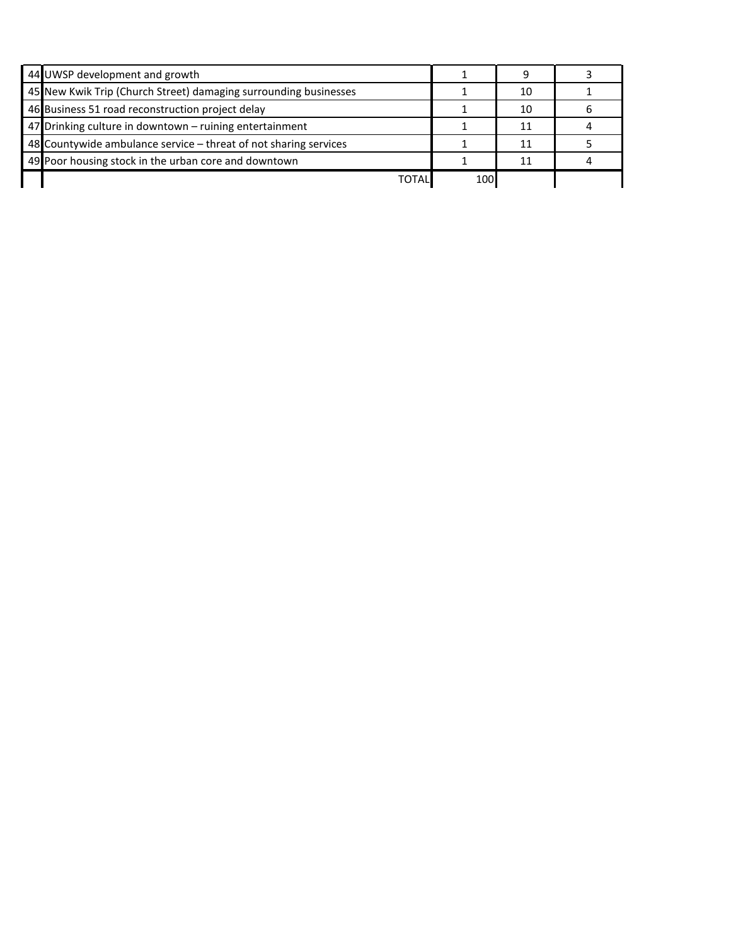| 44 UWSP development and growth                                   |     |    |  |
|------------------------------------------------------------------|-----|----|--|
| 45 New Kwik Trip (Church Street) damaging surrounding businesses |     | 10 |  |
| 46 Business 51 road reconstruction project delay                 |     | 10 |  |
| 47 Drinking culture in downtown - ruining entertainment          |     |    |  |
| 48 Countywide ambulance service - threat of not sharing services |     |    |  |
| 49 Poor housing stock in the urban core and downtown             |     |    |  |
| TOTALI                                                           | 100 |    |  |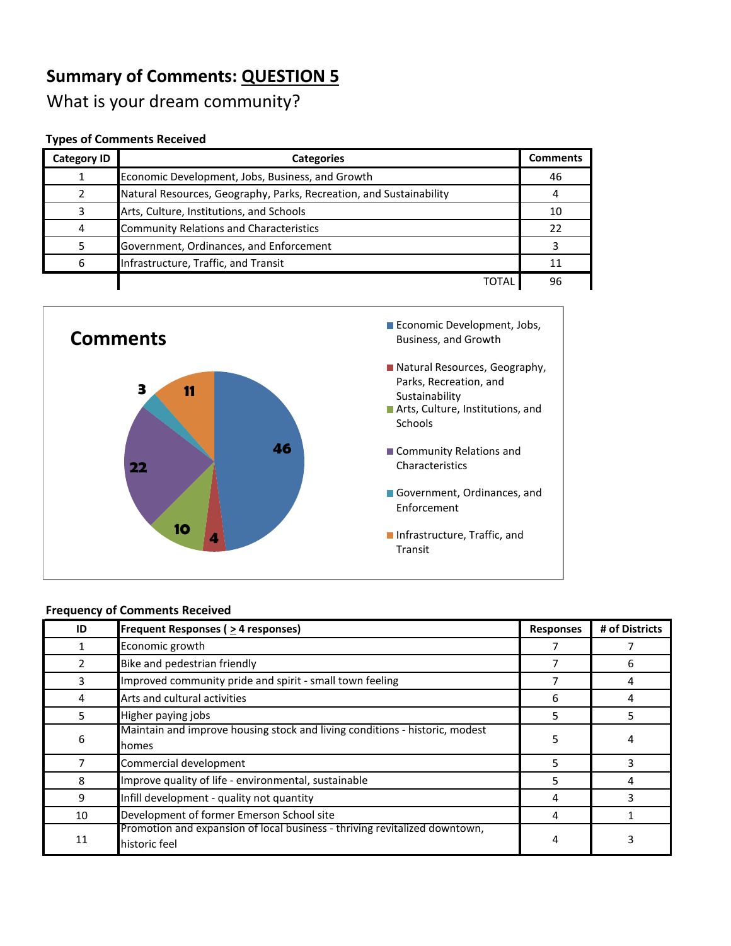What is your dream community?

#### **Types of Comments Received**

| <b>Category ID</b> | <b>Categories</b>                                                   | <b>Comments</b> |
|--------------------|---------------------------------------------------------------------|-----------------|
|                    | Economic Development, Jobs, Business, and Growth                    | 46              |
|                    | Natural Resources, Geography, Parks, Recreation, and Sustainability | 4               |
| 3                  | Arts, Culture, Institutions, and Schools                            | 10              |
| 4                  | Community Relations and Characteristics                             | 22              |
|                    | Government, Ordinances, and Enforcement                             |                 |
| 6                  | Infrastructure, Traffic, and Transit                                | 11              |
|                    | <b>TOTAL</b>                                                        | 96              |



| ID             | Frequent Responses ( $\geq$ 4 responses)                                                    | <b>Responses</b> | # of Districts |
|----------------|---------------------------------------------------------------------------------------------|------------------|----------------|
|                | Economic growth                                                                             |                  |                |
| $\overline{2}$ | Bike and pedestrian friendly                                                                |                  | 6              |
| 3              | Improved community pride and spirit - small town feeling                                    |                  |                |
| 4              | Arts and cultural activities                                                                | 6                | 4              |
| 5.             | Higher paying jobs                                                                          | 5                | 5.             |
| 6              | Maintain and improve housing stock and living conditions - historic, modest<br>Ihomes       | 5                | 4              |
|                | Commercial development                                                                      | 5                |                |
| 8              | Improve quality of life - environmental, sustainable                                        | 5                | 4              |
| 9              | Infill development - quality not quantity                                                   | 4                |                |
| 10             | Development of former Emerson School site                                                   | 4                |                |
| 11             | Promotion and expansion of local business - thriving revitalized downtown,<br>historic feel | 4                |                |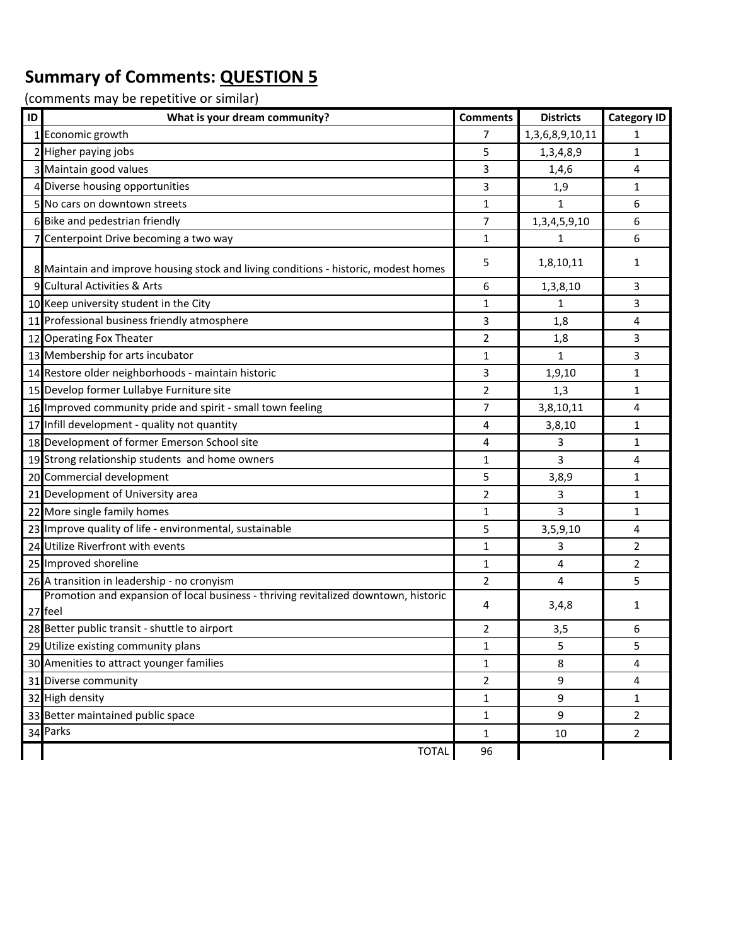| ID | What is your dream community?                                                                  | <b>Comments</b> | <b>Districts</b> | <b>Category ID</b> |
|----|------------------------------------------------------------------------------------------------|-----------------|------------------|--------------------|
|    | 1 Economic growth                                                                              | 7               | 1,3,6,8,9,10,11  | 1                  |
|    | 2 Higher paying jobs                                                                           | 5               | 1,3,4,8,9        | 1                  |
|    | 3 Maintain good values                                                                         | 3               | 1,4,6            | 4                  |
|    | 4 Diverse housing opportunities                                                                | 3               | 1,9              | 1                  |
|    | 5 No cars on downtown streets                                                                  | 1               | $\mathbf{1}$     | 6                  |
|    | 6 Bike and pedestrian friendly                                                                 | 7               | 1,3,4,5,9,10     | 6                  |
|    | 7 Centerpoint Drive becoming a two way                                                         | $\mathbf{1}$    | $\mathbf{1}$     | 6                  |
|    | 8 Maintain and improve housing stock and living conditions - historic, modest homes            | 5               | 1,8,10,11        | 1                  |
|    | 9 Cultural Activities & Arts                                                                   | 6               | 1,3,8,10         | 3                  |
|    | 10 Keep university student in the City                                                         | 1               | 1                | 3                  |
|    | 11 Professional business friendly atmosphere                                                   | 3               | 1,8              | 4                  |
|    | 12 Operating Fox Theater                                                                       | $\overline{2}$  | 1,8              | 3                  |
|    | 13 Membership for arts incubator                                                               | 1               | $\mathbf{1}$     | 3                  |
|    | 14 Restore older neighborhoods - maintain historic                                             | 3               | 1,9,10           | 1                  |
|    | 15 Develop former Lullabye Furniture site                                                      | $\overline{2}$  | 1,3              | 1                  |
|    | 16 Improved community pride and spirit - small town feeling                                    | 7               | 3,8,10,11        | 4                  |
|    | 17 Infill development - quality not quantity                                                   | 4               | 3,8,10           | 1                  |
|    | 18 Development of former Emerson School site                                                   | 4               | 3                | 1                  |
|    | 19 Strong relationship students and home owners                                                | 1               | 3                | 4                  |
|    | 20 Commercial development                                                                      | 5               | 3,8,9            | 1                  |
|    | 21 Development of University area                                                              | 2               | 3                | 1                  |
|    | 22 More single family homes                                                                    | 1               | 3                | 1                  |
|    | 23 Improve quality of life - environmental, sustainable                                        | 5               | 3,5,9,10         | 4                  |
|    | 24 Utilize Riverfront with events                                                              | 1               | 3                | 2                  |
|    | 25 Improved shoreline                                                                          | 1               | 4                | 2                  |
|    | 26 A transition in leadership - no cronyism                                                    | $\overline{2}$  | 4                | 5                  |
|    | Promotion and expansion of local business - thriving revitalized downtown, historic<br>27 feel | 4               | 3,4,8            | 1                  |
|    | 28 Better public transit - shuttle to airport                                                  | 2               | 3,5              | 6                  |
|    | 29 Utilize existing community plans                                                            | 1               | 5                | 5                  |
|    | 30 Amenities to attract younger families                                                       | $\mathbf{1}$    | 8                | 4                  |
|    | 31 Diverse community                                                                           | 2               | 9                | 4                  |
|    | 32 High density                                                                                | $\mathbf{1}$    | 9                | 1                  |
|    | 33 Better maintained public space                                                              | 1               | 9                | $\overline{2}$     |
|    | 34 Parks                                                                                       | $\mathbf{1}$    | 10               | $\overline{2}$     |
|    | <b>TOTAL</b>                                                                                   | 96              |                  |                    |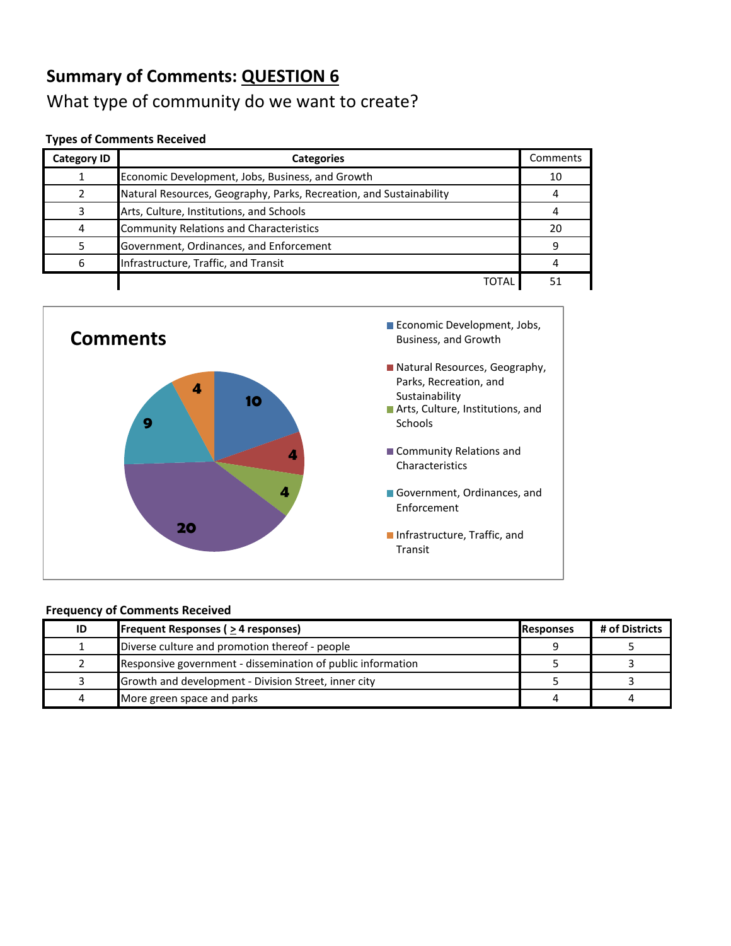## **Summary of Comments: QUESTION 6** What type of community do we want to create?

#### **Types of Comments Received**

| <b>Category ID</b> | <b>Categories</b>                                                   | Comments |
|--------------------|---------------------------------------------------------------------|----------|
|                    | Economic Development, Jobs, Business, and Growth                    | 10       |
|                    | Natural Resources, Geography, Parks, Recreation, and Sustainability |          |
|                    | Arts, Culture, Institutions, and Schools                            |          |
| 4                  | <b>Community Relations and Characteristics</b>                      | 20       |
|                    | Government, Ordinances, and Enforcement                             |          |
| 6                  | Infrastructure, Traffic, and Transit                                |          |
|                    | ТОТА                                                                |          |



| ID | <b>Frequent Responses (<math>\geq</math> 4 responses)</b>   | <b>Responses</b> | # of Districts |
|----|-------------------------------------------------------------|------------------|----------------|
|    | Diverse culture and promotion thereof - people              |                  |                |
|    | Responsive government - dissemination of public information |                  |                |
|    | Growth and development - Division Street, inner city        |                  |                |
| 4  | More green space and parks                                  |                  |                |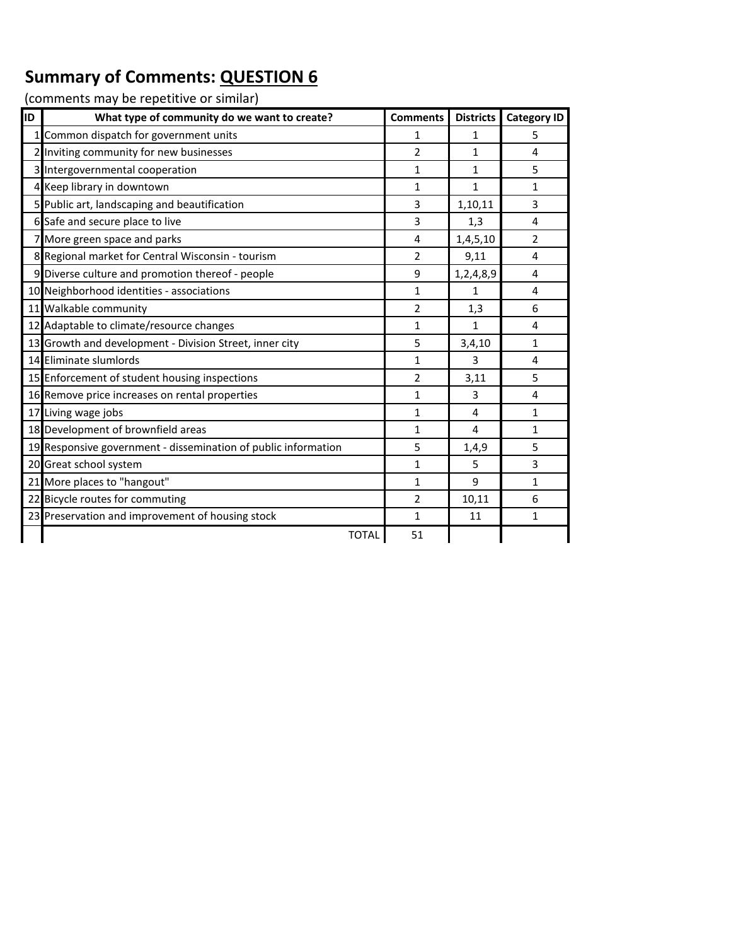| ID | What type of community do we want to create?                   | <b>Comments</b> | <b>Districts</b> | <b>Category ID</b> |
|----|----------------------------------------------------------------|-----------------|------------------|--------------------|
|    | Common dispatch for government units                           | 1               | 1                | 5                  |
|    | 2 Inviting community for new businesses                        | 2               | 1                | 4                  |
|    | 3 Intergovernmental cooperation                                | 1               | 1                | 5                  |
|    | 4 Keep library in downtown                                     | $\mathbf{1}$    | 1                | 1                  |
|    | 5 Public art, landscaping and beautification                   | 3               | 1,10,11          | 3                  |
|    | 6 Safe and secure place to live                                | 3               | 1,3              | 4                  |
|    | 7 More green space and parks                                   | 4               | 1,4,5,10         | $\overline{2}$     |
|    | 8 Regional market for Central Wisconsin - tourism              | $\overline{2}$  | 9,11             | 4                  |
|    | 9 Diverse culture and promotion thereof - people               | 9               | 1,2,4,8,9        | 4                  |
|    | 10 Neighborhood identities - associations                      | $\mathbf{1}$    | $\mathbf{1}$     | 4                  |
|    | 11 Walkable community                                          | $\overline{2}$  | 1,3              | 6                  |
|    | 12 Adaptable to climate/resource changes                       | 1               | 1                | 4                  |
|    | 13 Growth and development - Division Street, inner city        | 5               | 3,4,10           | $\mathbf{1}$       |
|    | 14 Eliminate slumlords                                         | $\mathbf{1}$    | 3                | 4                  |
|    | 15 Enforcement of student housing inspections                  | $\overline{2}$  | 3,11             | 5                  |
|    | 16 Remove price increases on rental properties                 | $\mathbf{1}$    | 3                | 4                  |
|    | 17 Living wage jobs                                            | $\mathbf{1}$    | 4                | 1                  |
|    | 18 Development of brownfield areas                             | $\mathbf{1}$    | 4                | $\mathbf{1}$       |
|    | 19 Responsive government - dissemination of public information | 5               | 1,4,9            | 5                  |
|    | 20 Great school system                                         | $\mathbf{1}$    | 5                | 3                  |
|    | 21 More places to "hangout"                                    | $\mathbf{1}$    | 9                | 1                  |
|    | 22 Bicycle routes for commuting                                | $\overline{2}$  | 10,11            | 6                  |
|    | 23 Preservation and improvement of housing stock               | $\mathbf{1}$    | 11               | 1                  |
|    | <b>TOTAL</b>                                                   | 51              |                  |                    |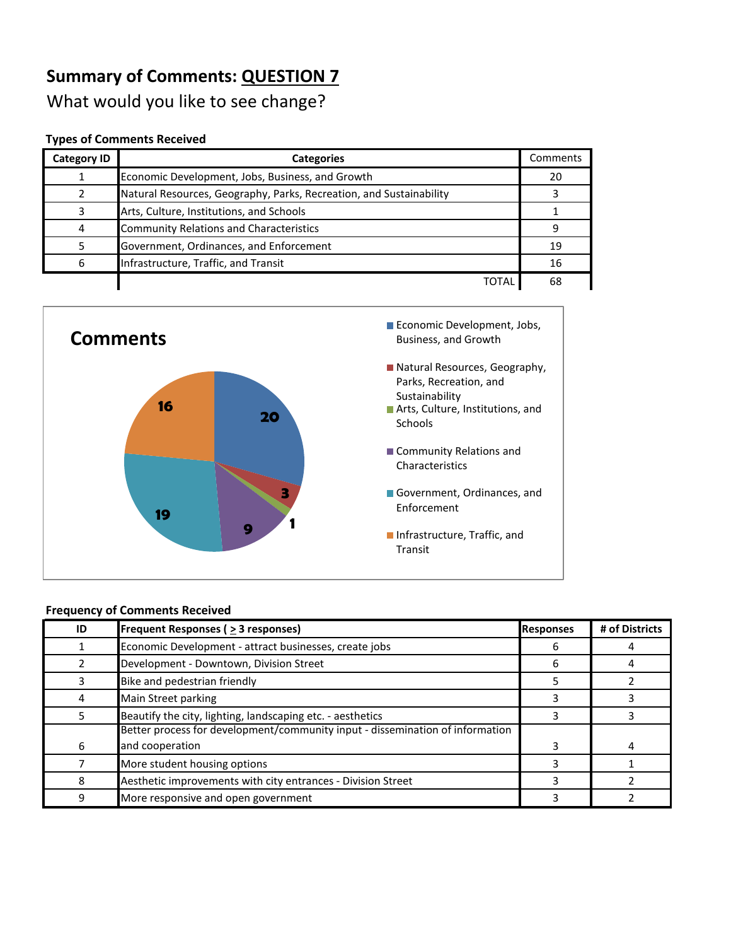What would you like to see change?

#### **Types of Comments Received**

| <b>Category ID</b> | <b>Categories</b>                                                   | Comments |
|--------------------|---------------------------------------------------------------------|----------|
|                    | Economic Development, Jobs, Business, and Growth                    | 20       |
|                    | Natural Resources, Geography, Parks, Recreation, and Sustainability |          |
|                    | Arts, Culture, Institutions, and Schools                            |          |
|                    | <b>Community Relations and Characteristics</b>                      |          |
|                    | Government, Ordinances, and Enforcement                             | 19       |
|                    | Infrastructure, Traffic, and Transit                                | 16       |
|                    | TOTAL                                                               | 68       |



| ID | <b>Frequent Responses (<math>\geq</math> 3 responses)</b>                     | <b>Responses</b> | # of Districts |
|----|-------------------------------------------------------------------------------|------------------|----------------|
|    | Economic Development - attract businesses, create jobs                        | h                |                |
|    | Development - Downtown, Division Street                                       | 6                |                |
|    | Bike and pedestrian friendly                                                  |                  |                |
| 4  | Main Street parking                                                           |                  |                |
| 5  | Beautify the city, lighting, landscaping etc. - aesthetics                    |                  |                |
|    | Better process for development/community input - dissemination of information |                  |                |
| 6  | and cooperation                                                               |                  |                |
|    | More student housing options                                                  |                  |                |
| 8  | Aesthetic improvements with city entrances - Division Street                  |                  |                |
| 9  | More responsive and open government                                           |                  |                |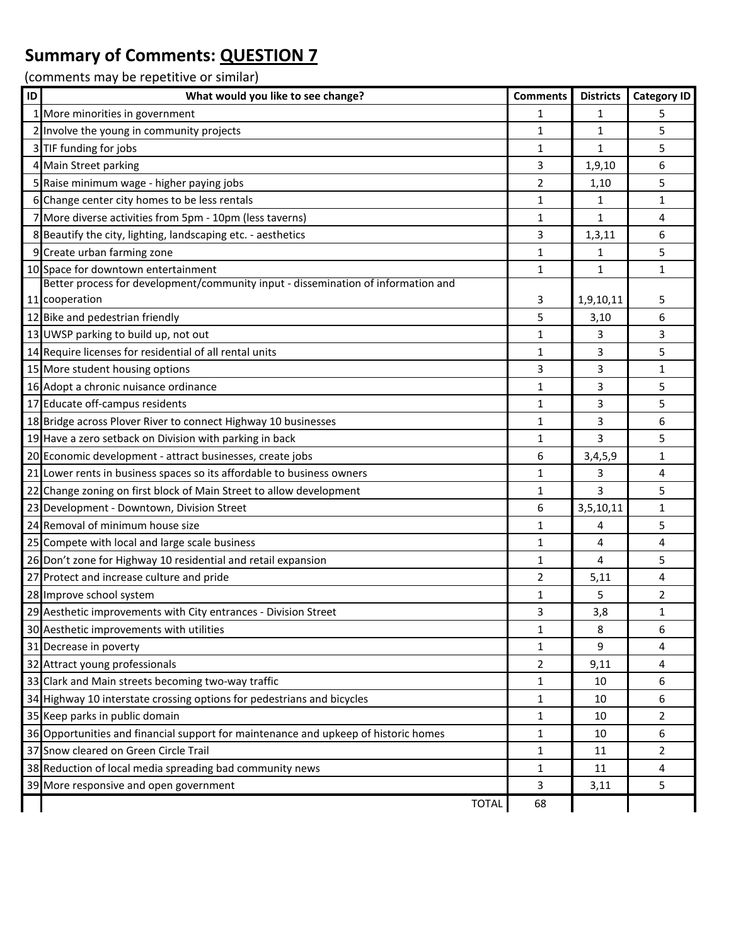| ID | What would you like to see change?                                                  | <b>Comments</b> | <b>Districts</b> | <b>Category ID</b> |
|----|-------------------------------------------------------------------------------------|-----------------|------------------|--------------------|
|    | 1 More minorities in government                                                     | 1               | $\mathbf{1}$     | 5                  |
|    | 2 Involve the young in community projects                                           | $\mathbf{1}$    | $\mathbf{1}$     | 5                  |
|    | 3 TIF funding for jobs                                                              | 1               | $\mathbf{1}$     | 5                  |
|    | 4 Main Street parking                                                               | 3               | 1,9,10           | 6                  |
|    | 5 Raise minimum wage - higher paying jobs                                           | 2               | 1,10             | 5                  |
|    | 6 Change center city homes to be less rentals                                       | 1               | 1                | 1                  |
|    | 7 More diverse activities from 5pm - 10pm (less taverns)                            | 1               | $\mathbf{1}$     | 4                  |
|    | 8 Beautify the city, lighting, landscaping etc. - aesthetics                        | 3               | 1, 3, 11         | 6                  |
|    | 9 Create urban farming zone                                                         | $\mathbf{1}$    | 1                | 5                  |
|    | 10 Space for downtown entertainment                                                 | 1               | $\mathbf{1}$     | 1                  |
|    | Better process for development/community input - dissemination of information and   |                 |                  |                    |
|    | 11 cooperation                                                                      | 3               | 1,9,10,11        | 5                  |
|    | 12 Bike and pedestrian friendly                                                     | 5               | 3,10             | 6                  |
|    | 13 UWSP parking to build up, not out                                                | $\mathbf{1}$    | 3                | 3                  |
|    | 14 Require licenses for residential of all rental units                             | 1               | 3                | 5                  |
|    | 15 More student housing options                                                     | 3               | 3                | 1                  |
|    | 16 Adopt a chronic nuisance ordinance                                               | $\mathbf{1}$    | 3                | 5                  |
|    | 17 Educate off-campus residents                                                     | $\mathbf{1}$    | 3                | 5                  |
|    | 18 Bridge across Plover River to connect Highway 10 businesses                      | $\mathbf{1}$    | 3                | 6                  |
|    | 19 Have a zero setback on Division with parking in back                             | $\mathbf{1}$    | 3                | 5                  |
|    | 20 Economic development - attract businesses, create jobs                           | 6               | 3,4,5,9          | 1                  |
|    | 21 Lower rents in business spaces so its affordable to business owners              | 1               | 3                | 4                  |
|    | 22 Change zoning on first block of Main Street to allow development                 | $\mathbf 1$     | 3                | 5                  |
|    | 23 Development - Downtown, Division Street                                          | 6               | 3,5,10,11        | 1                  |
|    | 24 Removal of minimum house size                                                    | 1               | 4                | 5                  |
|    | 25 Compete with local and large scale business                                      | $\mathbf{1}$    | 4                | 4                  |
|    | 26 Don't zone for Highway 10 residential and retail expansion                       | 1               | 4                | 5                  |
|    | 27 Protect and increase culture and pride                                           | 2               | 5,11             | 4                  |
|    | 28 Improve school system                                                            | 1               | 5                | $\overline{2}$     |
|    | 29 Aesthetic improvements with City entrances - Division Street                     | 3               | 3,8              | 1                  |
|    | 30 Aesthetic improvements with utilities                                            | 1               | 8                | 6                  |
|    | 31 Decrease in poverty                                                              | $\mathbf{1}$    | 9                | 4                  |
|    | 32 Attract young professionals                                                      | 2               | 9,11             | 4                  |
|    | 33 Clark and Main streets becoming two-way traffic                                  | 1               | 10               | 6                  |
|    | 34 Highway 10 interstate crossing options for pedestrians and bicycles              | 1               | 10               | 6                  |
|    | 35 Keep parks in public domain                                                      | 1               | 10               | 2                  |
|    | 36 Opportunities and financial support for maintenance and upkeep of historic homes | 1               | 10               | 6                  |
|    | 37 Snow cleared on Green Circle Trail                                               | 1               | 11               | $\overline{2}$     |
|    | 38 Reduction of local media spreading bad community news                            | 1               | 11               | 4                  |
|    | 39 More responsive and open government                                              | 3               | 3,11             | 5                  |
|    | <b>TOTAL</b>                                                                        | 68              |                  |                    |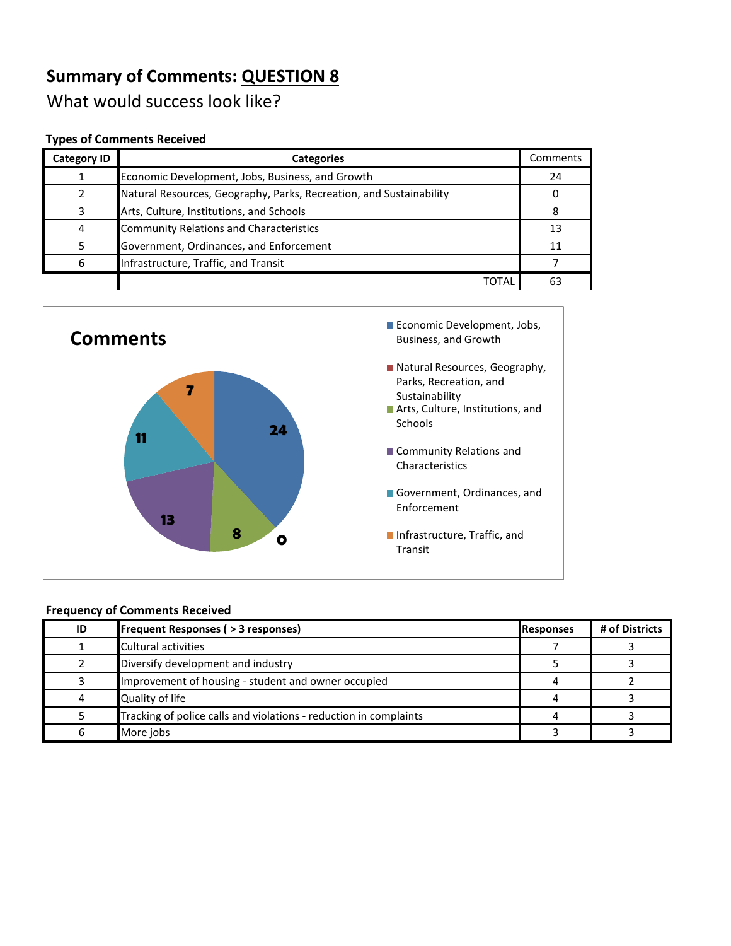What would success look like?

#### **Types of Comments Received**

| <b>Category ID</b> | <b>Categories</b>                                                   | Comments |
|--------------------|---------------------------------------------------------------------|----------|
|                    | Economic Development, Jobs, Business, and Growth                    | 24       |
|                    | Natural Resources, Geography, Parks, Recreation, and Sustainability |          |
|                    | Arts, Culture, Institutions, and Schools                            |          |
|                    | <b>Community Relations and Characteristics</b>                      | 13       |
|                    | Government, Ordinances, and Enforcement                             |          |
| 6                  | Infrastructure, Traffic, and Transit                                |          |
|                    | TOTAL                                                               | 63       |



| ID | <b>Frequent Responses (<math>\geq</math> 3 responses)</b>         | <b>Responses</b> | # of Districts |
|----|-------------------------------------------------------------------|------------------|----------------|
|    | Cultural activities                                               |                  |                |
|    | Diversify development and industry                                |                  |                |
|    | Improvement of housing - student and owner occupied               |                  |                |
| 4  | Quality of life                                                   |                  |                |
|    | Tracking of police calls and violations - reduction in complaints |                  |                |
| 6  | More jobs                                                         |                  |                |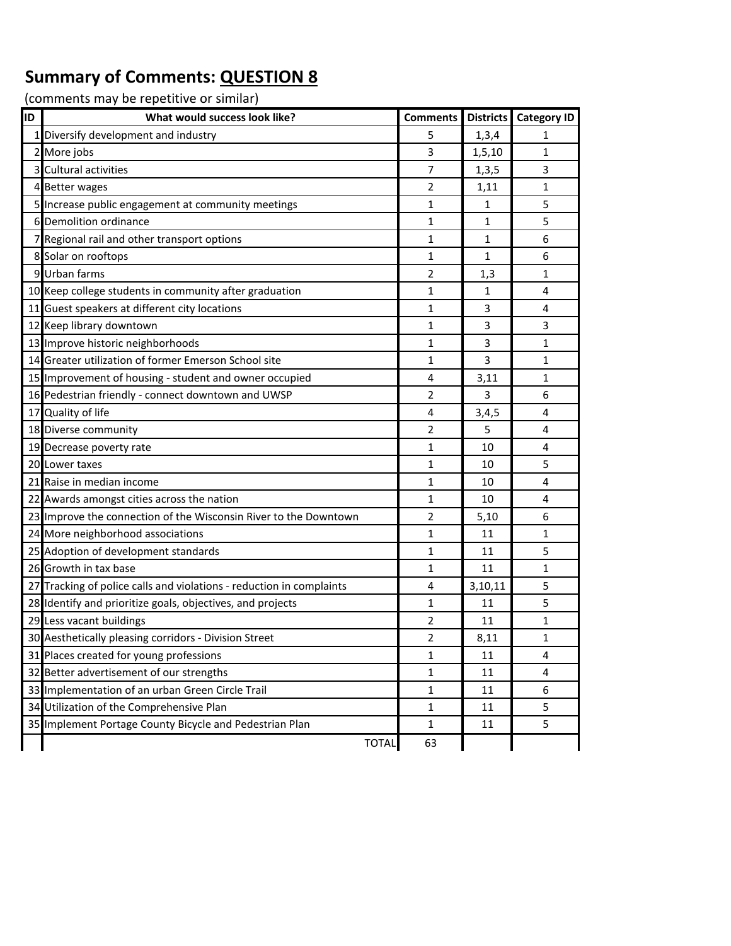| ID | What would success look like?                                        | <b>Comments</b> | <b>Districts</b> | <b>Category ID</b> |
|----|----------------------------------------------------------------------|-----------------|------------------|--------------------|
|    | 1 Diversify development and industry                                 | 5               | 1,3,4            | 1                  |
|    | 2 More jobs                                                          | 3               | 1,5,10           | 1                  |
|    | 3 Cultural activities                                                | 7               | 1, 3, 5          | 3                  |
|    | 4 Better wages                                                       | 2               | 1,11             | 1                  |
|    | 5 Increase public engagement at community meetings                   | $\mathbf{1}$    | $\mathbf{1}$     | 5                  |
|    | 6 Demolition ordinance                                               | $\mathbf{1}$    | $\mathbf{1}$     | 5                  |
|    | 7 Regional rail and other transport options                          | $\mathbf{1}$    | 1                | 6                  |
|    | 8 Solar on rooftops                                                  | $\mathbf{1}$    | $\mathbf{1}$     | 6                  |
|    | 9 Urban farms                                                        | $\overline{2}$  | 1,3              | 1                  |
|    | 10 Keep college students in community after graduation               | 1               | 1                | 4                  |
|    | 11 Guest speakers at different city locations                        | $\mathbf{1}$    | 3                | 4                  |
|    | 12 Keep library downtown                                             | $\mathbf{1}$    | 3                | 3                  |
|    | 13 Improve historic neighborhoods                                    | $\mathbf{1}$    | 3                | 1                  |
|    | 14 Greater utilization of former Emerson School site                 | $\mathbf{1}$    | 3                | 1                  |
|    | 15 Improvement of housing - student and owner occupied               | 4               | 3,11             | 1                  |
|    | 16 Pedestrian friendly - connect downtown and UWSP                   | $\overline{2}$  | 3                | 6                  |
|    | 17 Quality of life                                                   | 4               | 3,4,5            | 4                  |
|    | 18 Diverse community                                                 | $\overline{2}$  | 5                | 4                  |
|    | 19 Decrease poverty rate                                             | $\mathbf{1}$    | 10               | 4                  |
|    | 20 Lower taxes                                                       | $\mathbf{1}$    | 10               | 5                  |
|    | 21 Raise in median income                                            | $\mathbf{1}$    | 10               | 4                  |
|    | 22 Awards amongst cities across the nation                           | $\mathbf{1}$    | 10               | 4                  |
|    | 23 Improve the connection of the Wisconsin River to the Downtown     | $\overline{2}$  | 5,10             | 6                  |
|    | 24 More neighborhood associations                                    | $\mathbf{1}$    | 11               | 1                  |
|    | 25 Adoption of development standards                                 | $\mathbf{1}$    | 11               | 5                  |
|    | 26 Growth in tax base                                                | $\mathbf{1}$    | 11               | 1                  |
|    | 27 Tracking of police calls and violations - reduction in complaints | 4               | 3,10,11          | 5                  |
|    | 28 Identify and prioritize goals, objectives, and projects           | 1               | 11               | 5                  |
|    | 29 Less vacant buildings                                             | 2               | 11               | 1                  |
|    | 30 Aesthetically pleasing corridors - Division Street                | $\overline{2}$  | 8,11             | $\mathbf{1}$       |
|    | 31 Places created for young professions                              | $\mathbf{1}$    | 11               | 4                  |
|    | 32 Better advertisement of our strengths                             | $\mathbf{1}$    | 11               | 4                  |
|    | 33 Implementation of an urban Green Circle Trail                     | $\mathbf 1$     | 11               | 6                  |
|    | 34 Utilization of the Comprehensive Plan                             | $\mathbf{1}$    | 11               | 5                  |
|    | 35 Implement Portage County Bicycle and Pedestrian Plan              | 1               | 11               | 5                  |
|    | <b>TOTAL</b>                                                         | 63              |                  |                    |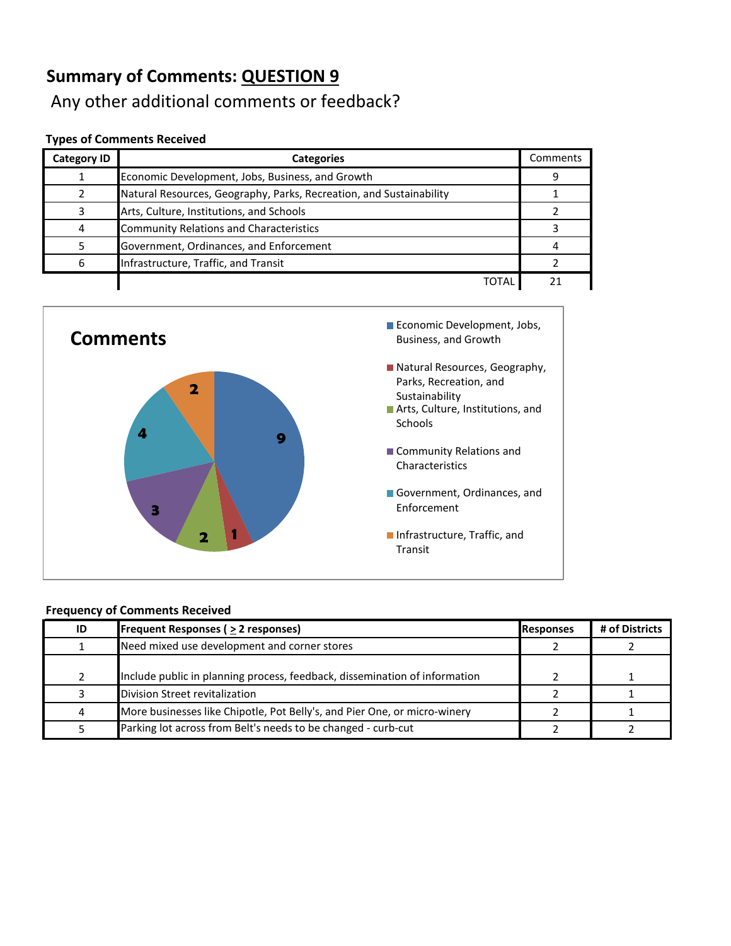## Any other additional comments or feedback?

#### **Types of Comments Received**

| <b>Category ID</b> | <b>Categories</b>                                                   | Comments |
|--------------------|---------------------------------------------------------------------|----------|
|                    | Economic Development, Jobs, Business, and Growth                    | q        |
|                    | Natural Resources, Geography, Parks, Recreation, and Sustainability |          |
|                    | Arts, Culture, Institutions, and Schools                            |          |
| 4                  | <b>Community Relations and Characteristics</b>                      |          |
|                    | Government, Ordinances, and Enforcement                             |          |
| 6                  | Infrastructure, Traffic, and Transit                                |          |
|                    | TOTAI                                                               |          |



| ID            | <b>Frequent Responses (<math>\geq</math> 2 responses)</b>                  | Responses | # of Districts |
|---------------|----------------------------------------------------------------------------|-----------|----------------|
|               | Need mixed use development and corner stores                               |           |                |
| $\mathcal{P}$ | Include public in planning process, feedback, dissemination of information |           |                |
|               | Division Street revitalization                                             |           |                |
| 4             | More businesses like Chipotle, Pot Belly's, and Pier One, or micro-winery  |           |                |
|               | Parking lot across from Belt's needs to be changed - curb-cut              |           |                |